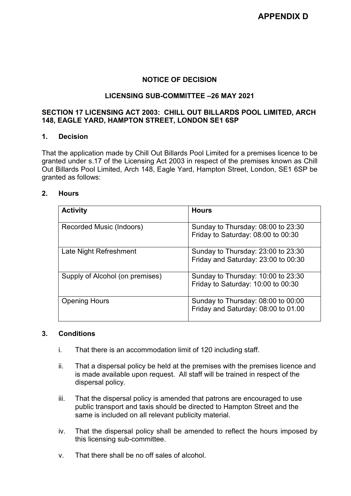# **NOTICE OF DECISION**

# **LICENSING SUB-COMMITTEE –26 MAY 2021**

## **SECTION 17 LICENSING ACT 2003: CHILL OUT BILLARDS POOL LIMITED, ARCH 148, EAGLE YARD, HAMPTON STREET, LONDON SE1 6SP**

#### **1. Decision**

That the application made by Chill Out Billards Pool Limited for a premises licence to be granted under s.17 of the Licensing Act 2003 in respect of the premises known as Chill Out Billards Pool Limited, Arch 148, Eagle Yard, Hampton Street, London, SE1 6SP be granted as follows:

## **2. Hours**

| <b>Activity</b>                 | <b>Hours</b>                                                              |
|---------------------------------|---------------------------------------------------------------------------|
| Recorded Music (Indoors)        | Sunday to Thursday: 08:00 to 23:30<br>Friday to Saturday: 08:00 to 00:30  |
| Late Night Refreshment          | Sunday to Thursday: 23:00 to 23:30<br>Friday and Saturday: 23:00 to 00:30 |
| Supply of Alcohol (on premises) | Sunday to Thursday: 10:00 to 23:30<br>Friday to Saturday: 10:00 to 00:30  |
| <b>Opening Hours</b>            | Sunday to Thursday: 08:00 to 00:00<br>Friday and Saturday: 08:00 to 01.00 |

## **3. Conditions**

- i. That there is an accommodation limit of 120 including staff.
- ii. That a dispersal policy be held at the premises with the premises licence and is made available upon request. All staff will be trained in respect of the dispersal policy.
- iii. That the dispersal policy is amended that patrons are encouraged to use public transport and taxis should be directed to Hampton Street and the same is included on all relevant publicity material.
- iv. That the dispersal policy shall be amended to reflect the hours imposed by this licensing sub-committee.
- v. That there shall be no off sales of alcohol.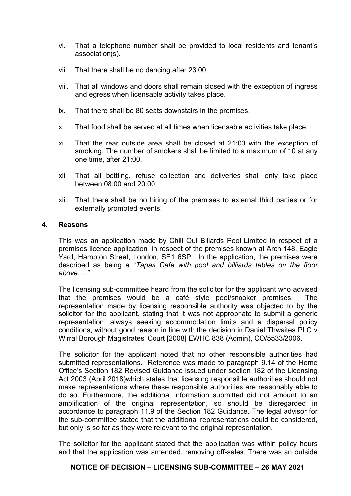- vi. That a telephone number shall be provided to local residents and tenant's association(s).
- vii. That there shall be no dancing after 23:00.
- viii. That all windows and doors shall remain closed with the exception of ingress and egress when licensable activity takes place.
- ix. That there shall be 80 seats downstairs in the premises.
- x. That food shall be served at all times when licensable activities take place.
- xi. That the rear outside area shall be closed at 21:00 with the exception of smoking. The number of smokers shall be limited to a maximum of 10 at any one time, after 21:00.
- xii. That all bottling, refuse collection and deliveries shall only take place between 08:00 and 20:00.
- xiii. That there shall be no hiring of the premises to external third parties or for externally promoted events.

#### **4. Reasons**

This was an application made by Chill Out Billards Pool Limited in respect of a premises licence application in respect of the premises known at Arch 148, Eagle Yard, Hampton Street, London, SE1 6SP. In the application, the premises were described as being a "*Tapas Cafe with pool and billiards tables on the floor above.…"*

The licensing sub-committee heard from the solicitor for the applicant who advised that the premises would be a café style pool/snooker premises. The representation made by licensing responsible authority was objected to by the solicitor for the applicant, stating that it was not appropriate to submit a generic representation; always seeking accommodation limits and a dispersal policy conditions, without good reason in line with the decision in Daniel Thwaites PLC v Wirral Borough Magistrates' Court [2008] EWHC 838 (Admin), CO/5533/2006.

The solicitor for the applicant noted that no other responsible authorities had submitted representations. Reference was made to paragraph 9.14 of the Home Office's Section 182 Revised Guidance issued under section 182 of the Licensing Act 2003 (April 2018)which states that licensing responsible authorities should not make representations where these responsible authorities are reasonably able to do so. Furthermore, the additional information submitted did not amount to an amplification of the original representation, so should be disregarded in accordance to paragraph 11.9 of the Section 182 Guidance. The legal advisor for the sub-committee stated that the additional representations could be considered, but only is so far as they were relevant to the original representation.

The solicitor for the applicant stated that the application was within policy hours and that the application was amended, removing off-sales. There was an outside

# **NOTICE OF DECISION – LICENSING SUB-COMMITTEE – 26 MAY 2021**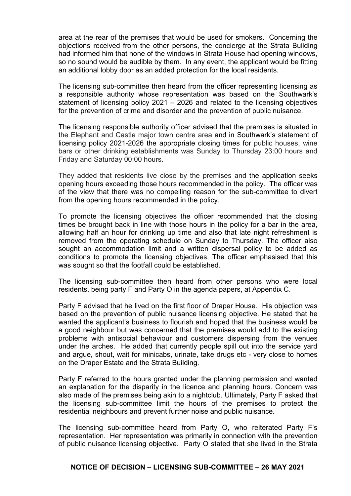area at the rear of the premises that would be used for smokers. Concerning the objections received from the other persons, the concierge at the Strata Building had informed him that none of the windows in Strata House had opening windows, so no sound would be audible by them. In any event, the applicant would be fitting an additional lobby door as an added protection for the local residents.

The licensing sub-committee then heard from the officer representing licensing as a responsible authority whose representation was based on the Southwark's statement of licensing policy 2021 – 2026 and related to the licensing objectives for the prevention of crime and disorder and the prevention of public nuisance.

The licensing responsible authority officer advised that the premises is situated in the Elephant and Castle major town centre area and in Southwark's statement of licensing policy 2021-2026 the appropriate closing times for public houses, wine bars or other drinking establishments was Sunday to Thursday 23:00 hours and Friday and Saturday 00:00 hours.

They added that residents live close by the premises and the application seeks opening hours exceeding those hours recommended in the policy. The officer was of the view that there was no compelling reason for the sub-committee to divert from the opening hours recommended in the policy.

To promote the licensing objectives the officer recommended that the closing times be brought back in line with those hours in the policy for a bar in the area, allowing half an hour for drinking up time and also that late night refreshment is removed from the operating schedule on Sunday to Thursday. The officer also sought an accommodation limit and a written dispersal policy to be added as conditions to promote the licensing objectives. The officer emphasised that this was sought so that the footfall could be established.

The licensing sub-committee then heard from other persons who were local residents, being party F and Party O in the agenda papers, at Appendix C.

Party F advised that he lived on the first floor of Draper House. His objection was based on the prevention of public nuisance licensing objective. He stated that he wanted the applicant's business to flourish and hoped that the business would be a good neighbour but was concerned that the premises would add to the existing problems with antisocial behaviour and customers dispersing from the venues under the arches. He added that currently people spill out into the service yard and argue, shout, wait for minicabs, urinate, take drugs etc - very close to homes on the Draper Estate and the Strata Building.

Party F referred to the hours granted under the planning permission and wanted an explanation for the disparity in the licence and planning hours. Concern was also made of the premises being akin to a nightclub. Ultimately, Party F asked that the licensing sub-committee limit the hours of the premises to protect the residential neighbours and prevent further noise and public nuisance.

The licensing sub-committee heard from Party O, who reiterated Party F's representation. Her representation was primarily in connection with the prevention of public nuisance licensing objective. Party O stated that she lived in the Strata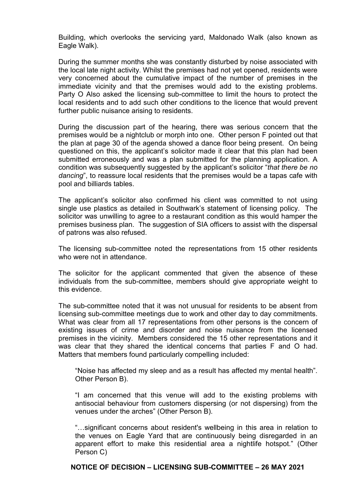Building, which overlooks the servicing yard, Maldonado Walk (also known as Eagle Walk).

During the summer months she was constantly disturbed by noise associated with the local late night activity. Whilst the premises had not yet opened, residents were very concerned about the cumulative impact of the number of premises in the immediate vicinity and that the premises would add to the existing problems. Party O Also asked the licensing sub-committee to limit the hours to protect the local residents and to add such other conditions to the licence that would prevent further public nuisance arising to residents.

During the discussion part of the hearing, there was serious concern that the premises would be a nightclub or morph into one. Other person F pointed out that the plan at page 30 of the agenda showed a dance floor being present. On being questioned on this, the applicant's solicitor made it clear that this plan had been submitted erroneously and was a plan submitted for the planning application. A condition was subsequently suggested by the applicant's solicitor "*that there be no dancing*", to reassure local residents that the premises would be a tapas cafe with pool and billiards tables.

The applicant's solicitor also confirmed his client was committed to not using single use plastics as detailed in Southwark's statement of licensing policy. The solicitor was unwilling to agree to a restaurant condition as this would hamper the premises business plan. The suggestion of SIA officers to assist with the dispersal of patrons was also refused.

The licensing sub-committee noted the representations from 15 other residents who were not in attendance.

The solicitor for the applicant commented that given the absence of these individuals from the sub-committee, members should give appropriate weight to this evidence.

The sub-committee noted that it was not unusual for residents to be absent from licensing sub-committee meetings due to work and other day to day commitments. What was clear from all 17 representations from other persons is the concern of existing issues of crime and disorder and noise nuisance from the licensed premises in the vicinity. Members considered the 15 other representations and it was clear that they shared the identical concerns that parties F and O had. Matters that members found particularly compelling included:

"Noise has affected my sleep and as a result has affected my mental health". Other Person B).

"I am concerned that this venue will add to the existing problems with antisocial behaviour from customers dispersing (or not dispersing) from the venues under the arches" (Other Person B).

"…significant concerns about resident's wellbeing in this area in relation to the venues on Eagle Yard that are continuously being disregarded in an apparent effort to make this residential area a nightlife hotspot." (Other Person C)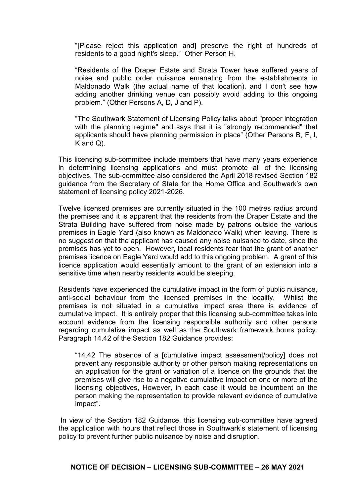"[Please reject this application and] preserve the right of hundreds of residents to a good night's sleep." Other Person H.

"Residents of the Draper Estate and Strata Tower have suffered years of noise and public order nuisance emanating from the establishments in Maldonado Walk (the actual name of that location), and I don't see how adding another drinking venue can possibly avoid adding to this ongoing problem." (Other Persons A, D, J and P).

"The Southwark Statement of Licensing Policy talks about "proper integration with the planning regime" and says that it is "strongly recommended" that applicants should have planning permission in place" (Other Persons B, F, I, K and Q).

This licensing sub-committee include members that have many years experience in determining licensing applications and must promote all of the licensing objectives. The sub-committee also considered the April 2018 revised Section 182 guidance from the Secretary of State for the Home Office and Southwark's own statement of licensing policy 2021-2026.

Twelve licensed premises are currently situated in the 100 metres radius around the premises and it is apparent that the residents from the Draper Estate and the Strata Building have suffered from noise made by patrons outside the various premises in Eagle Yard (also known as Maldonado Walk) when leaving. There is no suggestion that the applicant has caused any noise nuisance to date, since the premises has yet to open. However, local residents fear that the grant of another premises licence on Eagle Yard would add to this ongoing problem. A grant of this licence application would essentially amount to the grant of an extension into a sensitive time when nearby residents would be sleeping.

Residents have experienced the cumulative impact in the form of public nuisance, anti-social behaviour from the licensed premises in the locality. Whilst the premises is not situated in a cumulative impact area there is evidence of cumulative impact. It is entirely proper that this licensing sub-committee takes into account evidence from the licensing responsible authority and other persons regarding cumulative impact as well as the Southwark framework hours policy. Paragraph 14.42 of the Section 182 Guidance provides:

"14.42 The absence of a [cumulative impact assessment/policy] does not prevent any responsible authority or other person making representations on an application for the grant or variation of a licence on the grounds that the premises will give rise to a negative cumulative impact on one or more of the licensing objectives, However, in each case it would be incumbent on the person making the representation to provide relevant evidence of cumulative impact".

In view of the Section 182 Guidance, this licensing sub-committee have agreed the application with hours that reflect those in Southwark's statement of licensing policy to prevent further public nuisance by noise and disruption.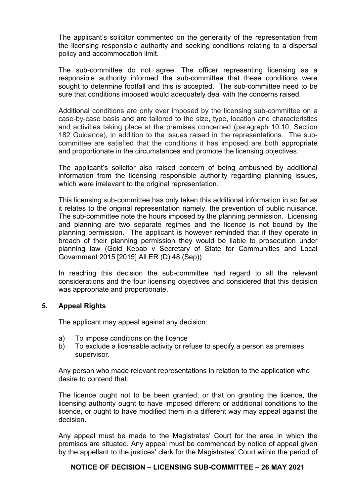The applicant's solicitor commented on the generality of the representation from the licensing responsible authority and seeking conditions relating to a dispersal policy and accommodation limit.

The sub-committee do not agree. The officer representing licensing as a responsible authority informed the sub-committee that these conditions were sought to determine footfall and this is accepted. The sub-committee need to be sure that conditions imposed would adequately deal with the concerns raised.

Additional conditions are only ever imposed by the licensing sub-committee on a case-by-case basis and are tailored to the size, type, location and characteristics and activities taking place at the premises concerned (paragraph 10.10, Section 182 Guidance), in addition to the issues raised in the representations. The subcommittee are satisfied that the conditions it has imposed are both appropriate and proportionate in the circumstances and promote the licensing objectives.

The applicant's solicitor also raised concern of being ambushed by additional information from the licensing responsible authority regarding planning issues, which were irrelevant to the original representation.

This licensing sub-committee has only taken this additional information in so far as it relates to the original representation namely, the prevention of public nuisance. The sub-committee note the hours imposed by the planning permission. Licensing and planning are two separate regimes and the licence is not bound by the planning permission. The applicant is however reminded that if they operate in breach of their planning permission they would be liable to prosecution under planning law (Gold Kebab v Secretary of State for Communities and Local Government 2015 [2015] All ER (D) 48 (Sep))

In reaching this decision the sub-committee had regard to all the relevant considerations and the four licensing objectives and considered that this decision was appropriate and proportionate.

## **5. Appeal Rights**

The applicant may appeal against any decision:

- a) To impose conditions on the licence
- b) To exclude a licensable activity or refuse to specify a person as premises supervisor.

Any person who made relevant representations in relation to the application who desire to contend that:

The licence ought not to be been granted; or that on granting the licence, the licensing authority ought to have imposed different or additional conditions to the licence, or ought to have modified them in a different way may appeal against the decision.

Any appeal must be made to the Magistrates' Court for the area in which the premises are situated. Any appeal must be commenced by notice of appeal given by the appellant to the justices' clerk for the Magistrates' Court within the period of

## **NOTICE OF DECISION – LICENSING SUB-COMMITTEE – 26 MAY 2021**